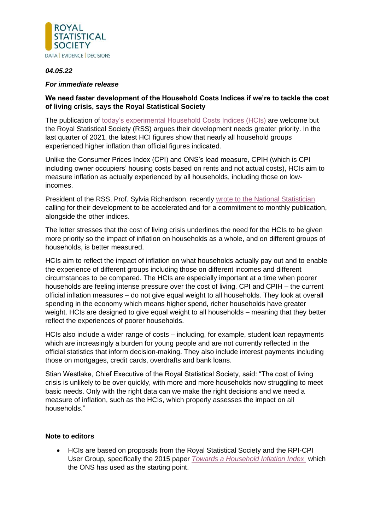

## *04.05.22*

## *For immediate release*

## **We need faster development of the Household Costs Indices if we're to tackle the cost of living crisis, says the Royal Statistical Society**

The publication of [today's experimental Household Costs Indices](https://www.ons.gov.uk/releases/householdcostsindicesukfourthpreliminaryestimates2005to2021) (HCIs) are welcome but the Royal Statistical Society (RSS) argues their development needs greater priority. In the last quarter of 2021, the latest HCI figures show that nearly all household groups experienced higher inflation than official figures indicated.

Unlike the Consumer Prices Index (CPI) and ONS's lead measure, CPIH (which is CPI including owner occupiers' housing costs based on rents and not actual costs), HCIs aim to measure inflation as actually experienced by all households, including those on lowincomes.

President of the RSS, Prof. Sylvia Richardson, recently [wrote to the National Statistician](https://rss.org.uk/RSS/media/File-library/Policy/2022/220412_Sylvia_Richardson_to_Sir_Ian_Diamond.pdf) calling for their development to be accelerated and for a commitment to monthly publication, alongside the other indices.

The letter stresses that the cost of living crisis underlines the need for the HCIs to be given more priority so the impact of inflation on households as a whole, and on different groups of households, is better measured.

HCIs aim to reflect the impact of inflation on what households actually pay out and to enable the experience of different groups including those on different incomes and different circumstances to be compared. The HCIs are especially important at a time when poorer households are feeling intense pressure over the cost of living. CPI and CPIH – the current official inflation measures – do not give equal weight to all households. They look at overall spending in the economy which means higher spend, richer households have greater weight. HCIs are designed to give equal weight to all households – meaning that they better reflect the experiences of poorer households.

HCIs also include a wider range of costs – including, for example, student loan repayments which are increasingly a burden for young people and are not currently reflected in the official statistics that inform decision-making. They also include interest payments including those on mortgages, credit cards, overdrafts and bank loans.

Stian Westlake, Chief Executive of the Royal Statistical Society, said: "The cost of living crisis is unlikely to be over quickly, with more and more households now struggling to meet basic needs. Only with the right data can we make the right decisions and we need a measure of inflation, such as the HCIs, which properly assesses the impact on all households."

## **Note to editors**

• HCIs are based on proposals from the Royal Statistical Society and the RPI-CPI User Group, specifically the 2015 paper *[Towards a Household Inflation Index](https://rss.org.uk/RSS/media/News-and-publications/Publications/Reports%20and%20guides/Towards_a_Household_Inflation_Index_May_2015.pdf?ext=.pdf)* which the ONS has used as the starting point.